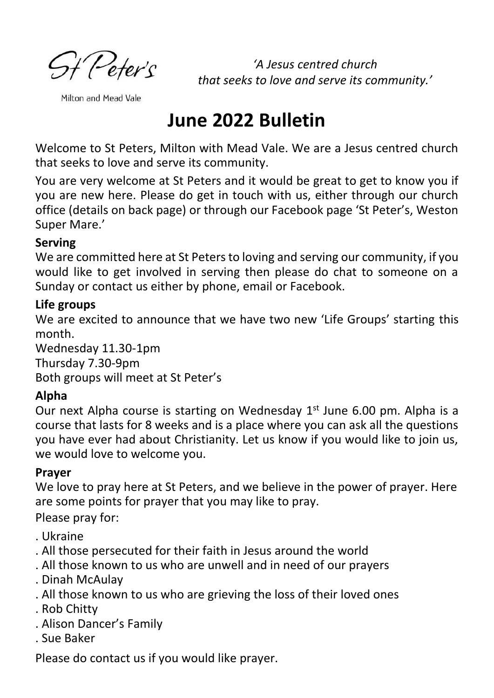**St** Peter's

*'A Jesus centred church that seeks to love and serve its community.'*

Milton and Mead Vale

# **June 2022 Bulletin**

Welcome to St Peters, Milton with Mead Vale. We are a Jesus centred church that seeks to love and serve its community.

You are very welcome at St Peters and it would be great to get to know you if you are new here. Please do get in touch with us, either through our church office (details on back page) or through our Facebook page 'St Peter's, Weston Super Mare.'

#### **Serving**

We are committed here at St Peters to loving and serving our community, if you would like to get involved in serving then please do chat to someone on a Sunday or contact us either by phone, email or Facebook.

#### **Life groups**

We are excited to announce that we have two new 'Life Groups' starting this month.

Wednesday 11.30-1pm Thursday 7.30-9pm Both groups will meet at St Peter's

#### **Alpha**

Our next Alpha course is starting on Wednesday 1<sup>st</sup> June 6.00 pm. Alpha is a course that lasts for 8 weeks and is a place where you can ask all the questions you have ever had about Christianity. Let us know if you would like to join us, we would love to welcome you.

#### **Prayer**

We love to pray here at St Peters, and we believe in the power of prayer. Here are some points for prayer that you may like to pray.

Please pray for:

- . Ukraine
- . All those persecuted for their faith in Jesus around the world
- . All those known to us who are unwell and in need of our prayers
- . Dinah McAulay
- . All those known to us who are grieving the loss of their loved ones
- . Rob Chitty
- . Alison Dancer's Family
- . Sue Baker

Please do contact us if you would like prayer.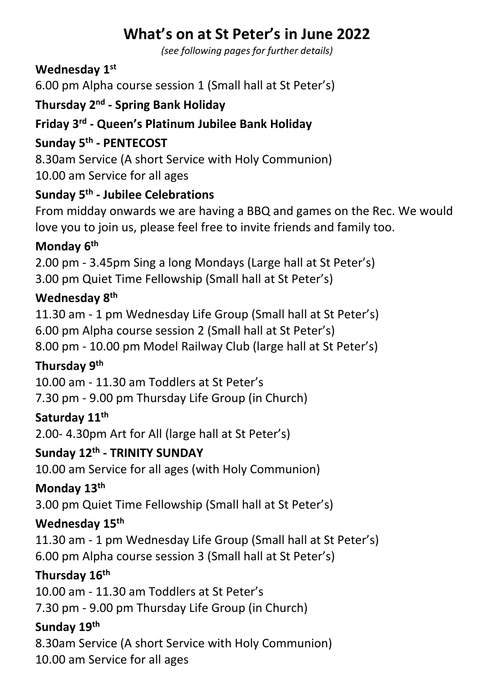# **What's on at St Peter's in June 2022**

*(see following pages for further details)*

#### **Wednesday 1st**

6.00 pm Alpha course session 1 (Small hall at St Peter's)

#### **Thursday 2nd - Spring Bank Holiday**

#### **Friday 3rd - Queen's Platinum Jubilee Bank Holiday**

#### **Sunday 5 th - PENTECOST**

8.30am Service (A short Service with Holy Communion) 10.00 am Service for all ages

# **Sunday 5th - Jubilee Celebrations**

From midday onwards we are having a BBQ and games on the Rec. We would love you to join us, please feel free to invite friends and family too.

#### **Monday 6th**

2.00 pm - 3.45pm Sing a long Mondays (Large hall at St Peter's) 3.00 pm Quiet Time Fellowship (Small hall at St Peter's)

#### **Wednesday 8th**

11.30 am - 1 pm Wednesday Life Group (Small hall at St Peter's) 6.00 pm Alpha course session 2 (Small hall at St Peter's) 8.00 pm - 10.00 pm Model Railway Club (large hall at St Peter's)

### **Thursday 9 th**

10.00 am - 11.30 am Toddlers at St Peter's

7.30 pm - 9.00 pm Thursday Life Group (in Church)

#### **Saturday 11th**

2.00- 4.30pm Art for All (large hall at St Peter's)

#### **Sunday 12th - TRINITY SUNDAY**

10.00 am Service for all ages (with Holy Communion)

#### **Monday 13th**

3.00 pm Quiet Time Fellowship (Small hall at St Peter's)

#### **Wednesday 15th**

11.30 am - 1 pm Wednesday Life Group (Small hall at St Peter's) 6.00 pm Alpha course session 3 (Small hall at St Peter's)

#### **Thursday 16 th**

10.00 am - 11.30 am Toddlers at St Peter's

7.30 pm - 9.00 pm Thursday Life Group (in Church)

#### **Sunday 19th**

8.30am Service (A short Service with Holy Communion) 10.00 am Service for all ages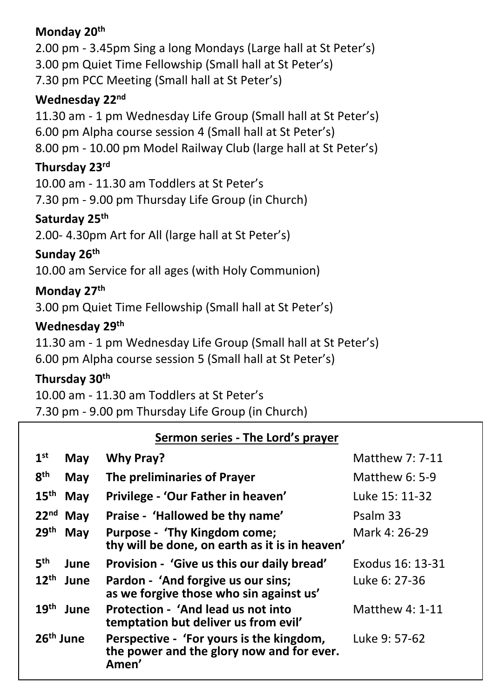#### **Monday 20th**

2.00 pm - 3.45pm Sing a long Mondays (Large hall at St Peter's) 3.00 pm Quiet Time Fellowship (Small hall at St Peter's) 7.30 pm PCC Meeting (Small hall at St Peter's) **Wednesday 22nd** 11.30 am - 1 pm Wednesday Life Group (Small hall at St Peter's) 6.00 pm Alpha course session 4 (Small hall at St Peter's) 8.00 pm - 10.00 pm Model Railway Club (large hall at St Peter's) **Thursday 23rd** 10.00 am - 11.30 am Toddlers at St Peter's 7.30 pm - 9.00 pm Thursday Life Group (in Church) **Saturday 25th**  2.00- 4.30pm Art for All (large hall at St Peter's) **Sunday 26 th** 10.00 am Service for all ages (with Holy Communion) **Monday 27 th** 3.00 pm Quiet Time Fellowship (Small hall at St Peter's)

#### **Wednesday 29th**

11.30 am - 1 pm Wednesday Life Group (Small hall at St Peter's) 6.00 pm Alpha course session 5 (Small hall at St Peter's)

#### **Thursday 30th**

10.00 am - 11.30 am Toddlers at St Peter's 7.30 pm - 9.00 pm Thursday Life Group (in Church)

#### **Sermon series - The Lord's prayer**

| 1 <sup>st</sup>       | May        | <b>Why Pray?</b>                                                                               | Matthew 7: 7-11        |
|-----------------------|------------|------------------------------------------------------------------------------------------------|------------------------|
| 8 <sup>th</sup>       | <b>May</b> | The preliminaries of Prayer                                                                    | <b>Matthew 6: 5-9</b>  |
| 15 <sup>th</sup>      | <b>May</b> | Privilege - 'Our Father in heaven'                                                             | Luke 15: 11-32         |
| $22nd$ May            |            | Praise - 'Hallowed be thy name'                                                                | Psalm 33               |
| 29 <sup>th</sup>      | <b>May</b> | Purpose - 'Thy Kingdom come;<br>thy will be done, on earth as it is in heaven'                 | Mark 4: 26-29          |
| 5 <sup>th</sup>       | June       | Provision - 'Give us this our daily bread'                                                     | Exodus 16: 13-31       |
| 12 <sup>th</sup>      | June       | Pardon - 'And forgive us our sins;<br>as we forgive those who sin against us'                  | Luke 6: 27-36          |
| 19 <sup>th</sup>      | June       | Protection - 'And lead us not into<br>temptation but deliver us from evil'                     | <b>Matthew 4: 1-11</b> |
| 26 <sup>th</sup> June |            | Perspective - 'For yours is the kingdom,<br>the power and the glory now and for ever.<br>Amen' | Luke 9: 57-62          |